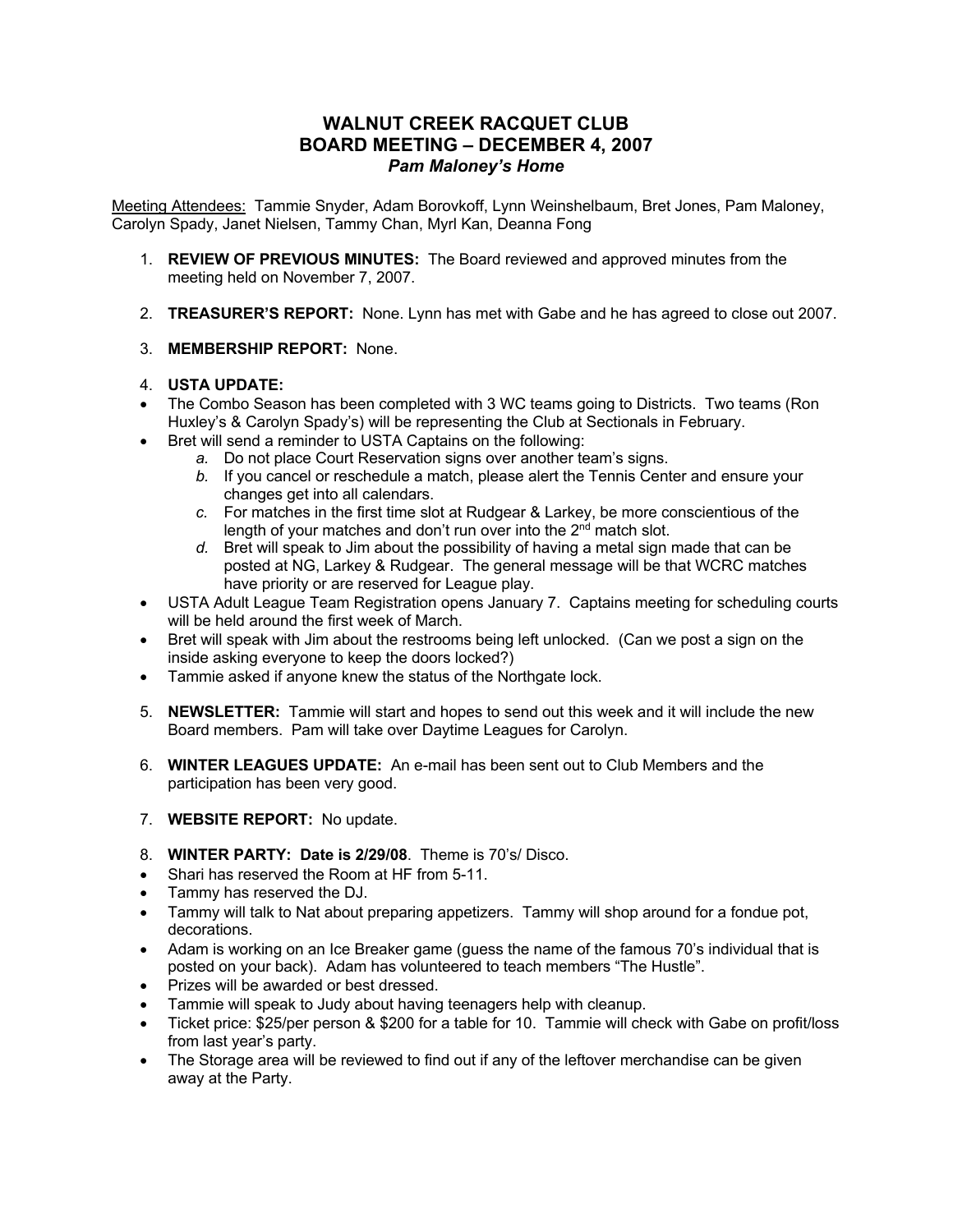## **WALNUT CREEK RACQUET CLUB BOARD MEETING – DECEMBER 4, 2007** *Pam Maloney's Home*

Meeting Attendees: Tammie Snyder, Adam Borovkoff, Lynn Weinshelbaum, Bret Jones, Pam Maloney, Carolyn Spady, Janet Nielsen, Tammy Chan, Myrl Kan, Deanna Fong

- 1. **REVIEW OF PREVIOUS MINUTES:**The Board reviewed and approved minutes from the meeting held on November 7, 2007.
- 2. **TREASURER'S REPORT:** None. Lynn has met with Gabe and he has agreed to close out 2007.
- 3. **MEMBERSHIP REPORT:** None.

## 4. **USTA UPDATE:**

- The Combo Season has been completed with 3 WC teams going to Districts. Two teams (Ron Huxley's & Carolyn Spady's) will be representing the Club at Sectionals in February.
- Bret will send a reminder to USTA Captains on the following:
	- *a.* Do not place Court Reservation signs over another team's signs.
	- *b.* If you cancel or reschedule a match, please alert the Tennis Center and ensure your changes get into all calendars.
	- *c.* For matches in the first time slot at Rudgear & Larkey, be more conscientious of the length of your matches and don't run over into the 2<sup>nd</sup> match slot.
	- *d.* Bret will speak to Jim about the possibility of having a metal sign made that can be posted at NG, Larkey & Rudgear. The general message will be that WCRC matches have priority or are reserved for League play.
- USTA Adult League Team Registration opens January 7. Captains meeting for scheduling courts will be held around the first week of March.
- Bret will speak with Jim about the restrooms being left unlocked. (Can we post a sign on the inside asking everyone to keep the doors locked?)
- Tammie asked if anyone knew the status of the Northgate lock.
- 5. **NEWSLETTER:** Tammie will start and hopes to send out this week and it will include the new Board members. Pam will take over Daytime Leagues for Carolyn.
- 6. **WINTER LEAGUES UPDATE:** An e-mail has been sent out to Club Members and the participation has been very good.
- 7. **WEBSITE REPORT:**No update.
- 8. **WINTER PARTY: Date is 2/29/08**. Theme is 70's/ Disco.
- Shari has reserved the Room at HF from 5-11.
- Tammy has reserved the DJ.
- Tammy will talk to Nat about preparing appetizers. Tammy will shop around for a fondue pot, decorations.
- Adam is working on an Ice Breaker game (guess the name of the famous 70's individual that is posted on your back). Adam has volunteered to teach members "The Hustle".
- Prizes will be awarded or best dressed.
- Tammie will speak to Judy about having teenagers help with cleanup.
- Ticket price: \$25/per person & \$200 for a table for 10. Tammie will check with Gabe on profit/loss from last year's party.
- The Storage area will be reviewed to find out if any of the leftover merchandise can be given away at the Party.